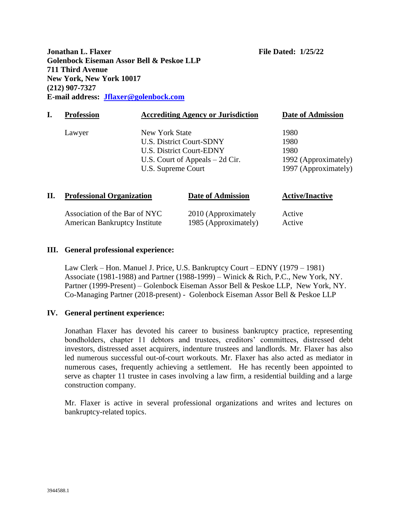**Jonathan L. Flaxer File Dated: 1/25/22 Golenbock Eiseman Assor Bell & Peskoe LLP 711 Third Avenue New York, New York 10017 (212) 907-7327 E-mail address: [Jflaxer@golenbock.com](mailto:Jflaxer@golenbock.com)**

|    | <b>Profession</b>                |                                                                                              | <b>Accrediting Agency or Jurisdiction</b> | <b>Date of Admission</b>                                             |
|----|----------------------------------|----------------------------------------------------------------------------------------------|-------------------------------------------|----------------------------------------------------------------------|
|    | Lawyer                           | New York State<br>U.S. District Court-SDNY<br>U.S. District Court-EDNY<br>U.S. Supreme Court | U.S. Court of Appeals $-2d$ Cir.          | 1980<br>1980<br>1980<br>1992 (Approximately)<br>1997 (Approximately) |
| П. | <b>Professional Organization</b> |                                                                                              | Date of Admission                         | <b>Active/Inactive</b>                                               |

| Association of the Bar of NYC        | 2010 (Approximately  | Active |
|--------------------------------------|----------------------|--------|
| <b>American Bankruptcy Institute</b> | 1985 (Approximately) | Active |

### **III. General professional experience:**

Law Clerk – Hon. Manuel J. Price, U.S. Bankruptcy Court – EDNY (1979 – 1981) Associate (1981-1988) and Partner (1988-1999) – Winick & Rich, P.C., New York, NY. Partner (1999-Present) – Golenbock Eiseman Assor Bell & Peskoe LLP, New York, NY. Co-Managing Partner (2018-present) - Golenbock Eiseman Assor Bell & Peskoe LLP

### **IV. General pertinent experience:**

Jonathan Flaxer has devoted his career to business bankruptcy practice, representing bondholders, chapter 11 debtors and trustees, creditors' committees, distressed debt investors, distressed asset acquirers, indenture trustees and landlords. Mr. Flaxer has also led numerous successful out-of-court workouts. Mr. Flaxer has also acted as mediator in numerous cases, frequently achieving a settlement. He has recently been appointed to serve as chapter 11 trustee in cases involving a law firm, a residential building and a large construction company.

Mr. Flaxer is active in several professional organizations and writes and lectures on bankruptcy-related topics.